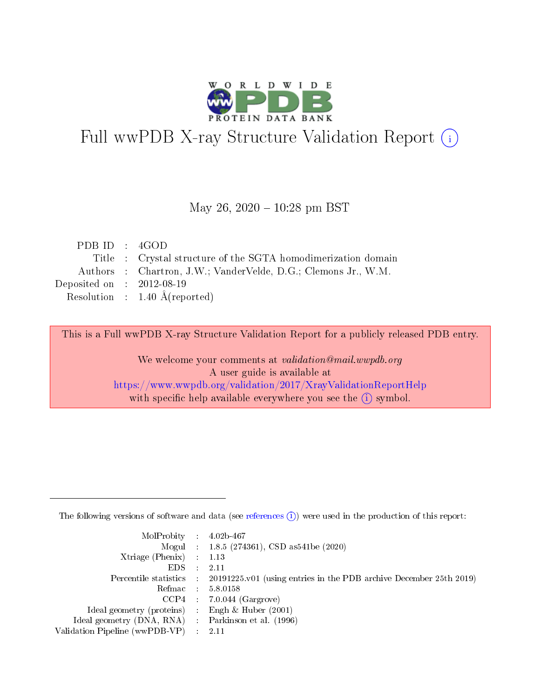

# Full wwPDB X-ray Structure Validation Report (i)

#### May 26,  $2020 - 10:28$  pm BST

| PDBID : 4GOD                |                                                                |
|-----------------------------|----------------------------------------------------------------|
|                             | Title : Crystal structure of the SGTA homodimerization domain  |
|                             | Authors : Chartron, J.W.; VanderVelde, D.G.; Clemons Jr., W.M. |
| Deposited on : $2012-08-19$ |                                                                |
|                             | Resolution : $1.40 \text{ Å}$ (reported)                       |

This is a Full wwPDB X-ray Structure Validation Report for a publicly released PDB entry.

We welcome your comments at validation@mail.wwpdb.org A user guide is available at <https://www.wwpdb.org/validation/2017/XrayValidationReportHelp> with specific help available everywhere you see the  $(i)$  symbol.

The following versions of software and data (see [references](https://www.wwpdb.org/validation/2017/XrayValidationReportHelp#references)  $(1)$ ) were used in the production of this report:

| $MolProbability$ : 4.02b-467                        |                                                                                            |
|-----------------------------------------------------|--------------------------------------------------------------------------------------------|
|                                                     | Mogul : 1.8.5 (274361), CSD as 541be (2020)                                                |
| Xtriage (Phenix) $: 1.13$                           |                                                                                            |
| EDS :                                               | -2.11                                                                                      |
|                                                     | Percentile statistics : 20191225.v01 (using entries in the PDB archive December 25th 2019) |
| Refmac 58.0158                                      |                                                                                            |
|                                                     | $CCP4$ 7.0.044 (Gargrove)                                                                  |
| Ideal geometry (proteins) : Engh $\&$ Huber (2001)  |                                                                                            |
| Ideal geometry (DNA, RNA) : Parkinson et al. (1996) |                                                                                            |
| Validation Pipeline (wwPDB-VP) : 2.11               |                                                                                            |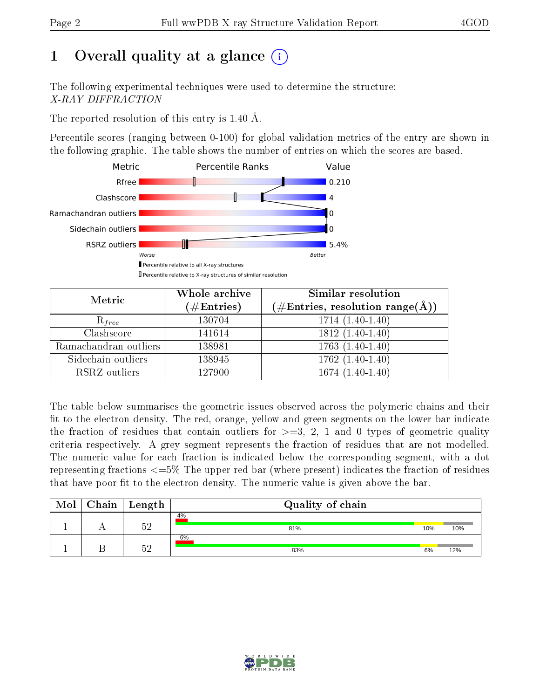# 1 [O](https://www.wwpdb.org/validation/2017/XrayValidationReportHelp#overall_quality)verall quality at a glance  $(i)$

The following experimental techniques were used to determine the structure: X-RAY DIFFRACTION

The reported resolution of this entry is 1.40 Å.

Percentile scores (ranging between 0-100) for global validation metrics of the entry are shown in the following graphic. The table shows the number of entries on which the scores are based.



| Metric                | Whole archive<br>$(\#\text{Entries})$ | Similar resolution<br>$(\#\text{Entries}, \text{resolution range}(\text{\AA}))$ |
|-----------------------|---------------------------------------|---------------------------------------------------------------------------------|
| $R_{free}$            | 130704                                | $1714(1.40-1.40)$                                                               |
| Clashscore            | 141614                                | $1812(1.40-1.40)$                                                               |
| Ramachandran outliers | 138981                                | $1763(1.40-1.40)$                                                               |
| Sidechain outliers    | 138945                                | $1762(1.40-1.40)$                                                               |
| RSRZ outliers         | 127900                                | $1674(1.40-1.40)$                                                               |

The table below summarises the geometric issues observed across the polymeric chains and their fit to the electron density. The red, orange, yellow and green segments on the lower bar indicate the fraction of residues that contain outliers for  $>=3, 2, 1$  and 0 types of geometric quality criteria respectively. A grey segment represents the fraction of residues that are not modelled. The numeric value for each fraction is indicated below the corresponding segment, with a dot representing fractions  $\epsilon=5\%$  The upper red bar (where present) indicates the fraction of residues that have poor fit to the electron density. The numeric value is given above the bar.

| Mol | $\mid$ Chain $\mid$ Length | Quality of chain |     |     |
|-----|----------------------------|------------------|-----|-----|
|     | にの                         | 4%<br>81%        | 10% | 10% |
|     | س س                        | 6%<br>83%        | 6%  | 12% |

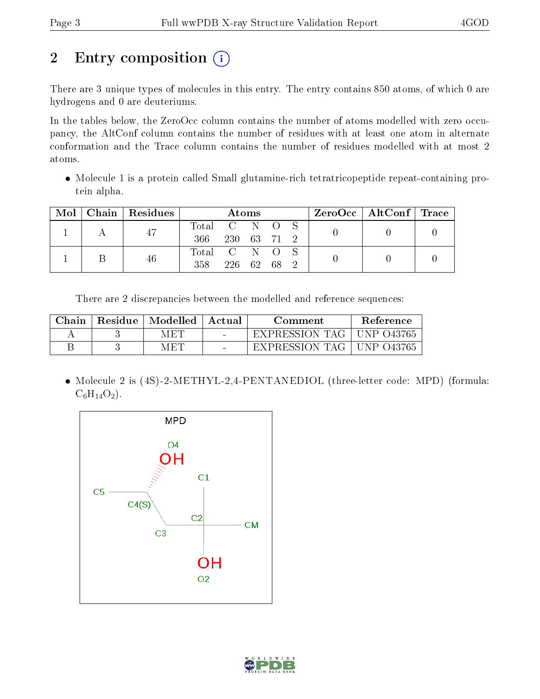# 2 Entry composition (i)

There are 3 unique types of molecules in this entry. The entry contains 850 atoms, of which 0 are hydrogens and 0 are deuteriums.

In the tables below, the ZeroOcc column contains the number of atoms modelled with zero occupancy, the AltConf column contains the number of residues with at least one atom in alternate conformation and the Trace column contains the number of residues modelled with at most 2 atoms.

• Molecule 1 is a protein called Small glutamine-rich tetratricopeptide repeat-containing protein alpha.

|  | Mol   Chain   Residues | Atoms         |             |  | $\rm ZeroOcc$   AltConf   Trace |  |  |  |
|--|------------------------|---------------|-------------|--|---------------------------------|--|--|--|
|  | 47                     | Total C N O S |             |  |                                 |  |  |  |
|  |                        | 366           | 230 63 71 2 |  |                                 |  |  |  |
|  | 46                     | Total C N O S |             |  |                                 |  |  |  |
|  |                        | 358           | 226 62      |  | - 68                            |  |  |  |

There are 2 discrepancies between the modelled and reference sequences:

| Chain | Residue   Modelled | Actual | Comment               | <b>Reference</b> |
|-------|--------------------|--------|-----------------------|------------------|
|       | M ET               | $\sim$ | EXPRESSION TAG        | UNP 043765       |
|       | M ET L             | $\sim$ | <b>EXPRESSION TAG</b> | UNP 043765       |

• Molecule 2 is (4S)-2-METHYL-2,4-PENTANEDIOL (three-letter code: MPD) (formula:  $C_6H_{14}O_2$ .



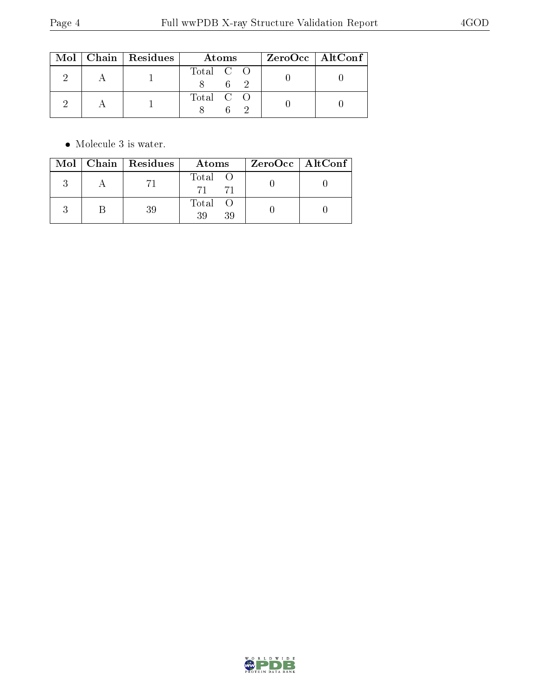|  | $Mol$   Chain   Residues | Atoms     | $ZeroOcc \mid AltConf$ |  |
|--|--------------------------|-----------|------------------------|--|
|  |                          | Total C O |                        |  |
|  |                          | Total C O |                        |  |

 $\bullet\,$  Molecule 3 is water.

|  | $Mol$   Chain   Residues | Atoms               | $ZeroOcc$   AltConf |
|--|--------------------------|---------------------|---------------------|
|  |                          | Total O<br>71       |                     |
|  | 39                       | Total O<br>39<br>39 |                     |

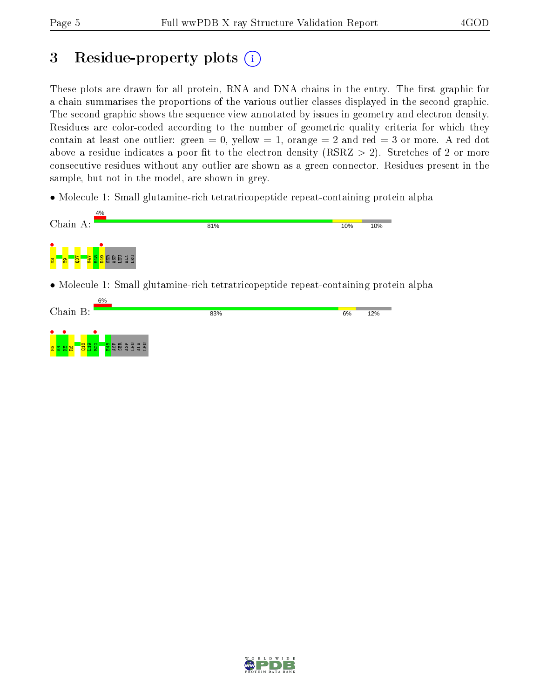## 3 Residue-property plots  $(i)$

These plots are drawn for all protein, RNA and DNA chains in the entry. The first graphic for a chain summarises the proportions of the various outlier classes displayed in the second graphic. The second graphic shows the sequence view annotated by issues in geometry and electron density. Residues are color-coded according to the number of geometric quality criteria for which they contain at least one outlier: green  $= 0$ , yellow  $= 1$ , orange  $= 2$  and red  $= 3$  or more. A red dot above a residue indicates a poor fit to the electron density (RSRZ  $> 2$ ). Stretches of 2 or more consecutive residues without any outlier are shown as a green connector. Residues present in the sample, but not in the model, are shown in grey.

• Molecule 1: Small glutamine-rich tetratricopeptide repeat-containing protein alpha





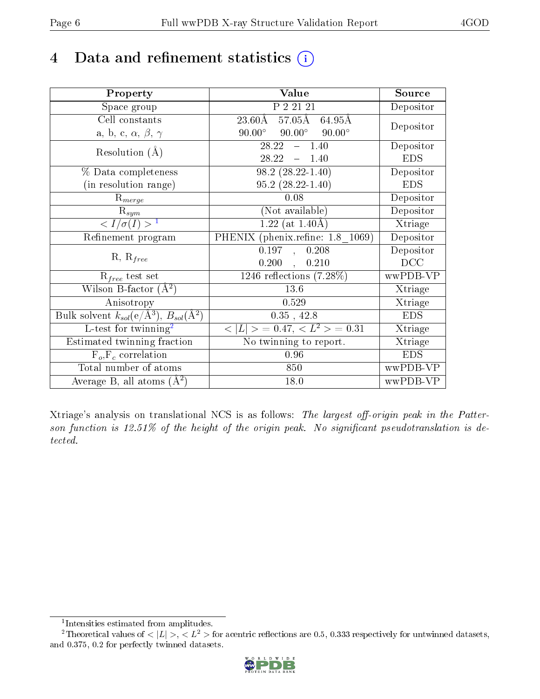## 4 Data and refinement statistics  $(i)$

| Property                                                             | Value                                            | Source     |
|----------------------------------------------------------------------|--------------------------------------------------|------------|
| Space group                                                          | P 2 21 21                                        | Depositor  |
| Cell constants                                                       | $57.05\text{\AA}$<br>$23.60\text{\AA}$<br>64.95Å | Depositor  |
| a, b, c, $\alpha$ , $\beta$ , $\gamma$                               | $90.00^{\circ}$ $90.00^{\circ}$ $90.00^{\circ}$  |            |
| Resolution $(A)$                                                     | 28.22<br>$-1.40$                                 | Depositor  |
|                                                                      | $28.22 - 1.40$                                   | <b>EDS</b> |
| % Data completeness                                                  | $\overline{98.2}$ $(28.22 - 1.40)$               | Depositor  |
| (in resolution range)                                                | $95.2(28.22 - 1.40)$                             | <b>EDS</b> |
| $R_{merge}$                                                          | 0.08                                             | Depositor  |
| $\mathrm{R}_{sym}$                                                   | (Not available)                                  | Depositor  |
| $\langle I/\sigma(I) \rangle^{-1}$                                   | $1.22$ (at 1.40Å)                                | Xtriage    |
| Refinement program                                                   | PHENIX (phenix.refine: 1.8 1069)                 | Depositor  |
| $R, R_{free}$                                                        | 0.197,<br>0.208                                  | Depositor  |
|                                                                      | $0.200$ ,<br>0.210                               | DCC        |
| $R_{free}$ test set                                                  | $\overline{1246}$ reflections $(7.28\%)$         | wwPDB-VP   |
| Wilson B-factor $(A^2)$                                              | 13.6                                             | Xtriage    |
| Anisotropy                                                           | 0.529                                            | Xtriage    |
| Bulk solvent $k_{sol}(e/\mathring{A}^3)$ , $B_{sol}(\mathring{A}^2)$ | $0.35$ , 42.8                                    | <b>EDS</b> |
| L-test for twinning <sup>2</sup>                                     | $< L >$ = 0.47, $< L2 >$ = 0.31                  | Xtriage    |
| Estimated twinning fraction                                          | No twinning to report.                           | Xtriage    |
| $F_o, F_c$ correlation                                               | 0.96                                             | <b>EDS</b> |
| Total number of atoms                                                | 850                                              | wwPDB-VP   |
| Average B, all atoms $(A^2)$                                         | 18.0                                             | wwPDB-VP   |

Xtriage's analysis on translational NCS is as follows: The largest off-origin peak in the Patterson function is  $12.51\%$  of the height of the origin peak. No significant pseudotranslation is detected.

<sup>&</sup>lt;sup>2</sup>Theoretical values of  $\langle |L| \rangle$ ,  $\langle L^2 \rangle$  for acentric reflections are 0.5, 0.333 respectively for untwinned datasets, and 0.375, 0.2 for perfectly twinned datasets.



<span id="page-5-1"></span><span id="page-5-0"></span><sup>1</sup> Intensities estimated from amplitudes.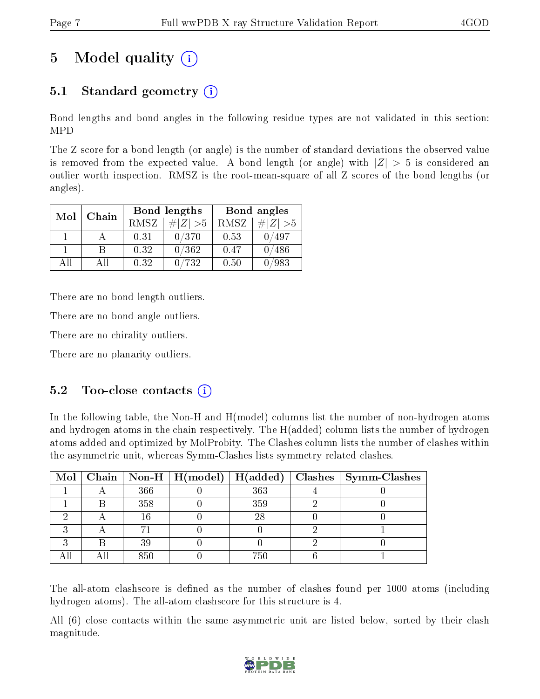# 5 Model quality  $(i)$

### 5.1 Standard geometry  $(i)$

Bond lengths and bond angles in the following residue types are not validated in this section: MPD

The Z score for a bond length (or angle) is the number of standard deviations the observed value is removed from the expected value. A bond length (or angle) with  $|Z| > 5$  is considered an outlier worth inspection. RMSZ is the root-mean-square of all Z scores of the bond lengths (or angles).

| Mol | Chain |      | Bond lengths | Bond angles |             |
|-----|-------|------|--------------|-------------|-------------|
|     |       | RMSZ | $\# Z  > 5$  | RMSZ        | $\# Z  > 5$ |
|     |       | 0.31 | 0/370        | 0.53        | /497        |
|     |       | 0.32 | 0/362        | 0.47        | 0/486       |
| ΔH  | ΔH    | 0.32 | 0/732        | 0.50        | /983        |

There are no bond length outliers.

There are no bond angle outliers.

There are no chirality outliers.

There are no planarity outliers.

#### $5.2$  Too-close contacts  $(i)$

In the following table, the Non-H and H(model) columns list the number of non-hydrogen atoms and hydrogen atoms in the chain respectively. The H(added) column lists the number of hydrogen atoms added and optimized by MolProbity. The Clashes column lists the number of clashes within the asymmetric unit, whereas Symm-Clashes lists symmetry related clashes.

|  |     |     | Mol   Chain   Non-H   H(model)   H(added)   Clashes   Symm-Clashes |
|--|-----|-----|--------------------------------------------------------------------|
|  | 366 | 363 |                                                                    |
|  | 358 | 359 |                                                                    |
|  | 16  | 28  |                                                                    |
|  |     |     |                                                                    |
|  | 39  |     |                                                                    |
|  | 850 | 750 |                                                                    |

The all-atom clashscore is defined as the number of clashes found per 1000 atoms (including hydrogen atoms). The all-atom clashscore for this structure is 4.

All (6) close contacts within the same asymmetric unit are listed below, sorted by their clash magnitude.

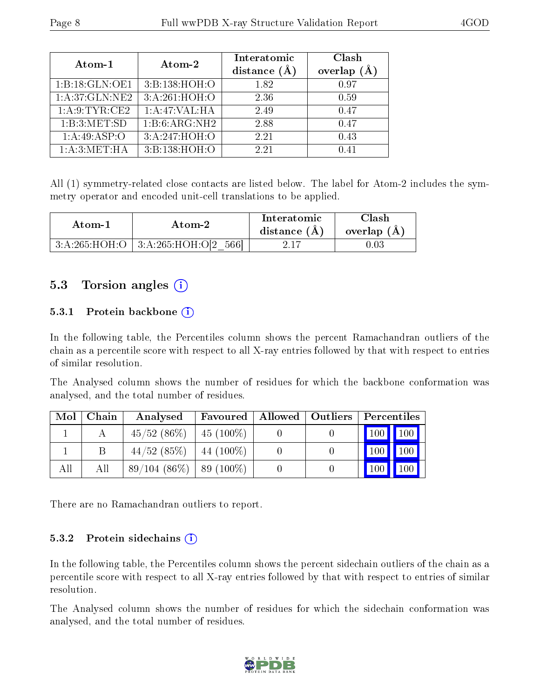| Atom-1            | Atom-2          | Interatomic<br>distance $(\AA)$ | Clash<br>overlap $(A)$ |
|-------------------|-----------------|---------------------------------|------------------------|
| 1:B:18:GLN:OE1    | 3:B:138:HOH:O   | 1.82                            | 0.97                   |
| 1: A:37: GLN: NE2 | 3:A:261:HOH:O   | 2.36                            | 0.59                   |
| 1: A.9: TYR: CE2  | 1: A:47: VAL:HA | 2.49                            | 0.47                   |
| 1:B:3:MET:SD      | 1:B:6:ARG:NH2   | 2.88                            | 0.47                   |
| 1:A:49:ASP:O      | 3:A:247:HOH:O   | 2.21                            | 0.43                   |
| 1: A:3: MET:HA    | 3:B:138:HOH:O   | 2.21                            | 0.41                   |

All (1) symmetry-related close contacts are listed below. The label for Atom-2 includes the symmetry operator and encoded unit-cell translations to be applied.

| Atom-1 |                                     | Interatomic    | Clash         |  |
|--------|-------------------------------------|----------------|---------------|--|
| Atom-2 |                                     | distance $(A)$ | overlap $(A)$ |  |
|        | 3:A:265:HOH:O   3:A:265:HOH:O 2 566 | 2.17           | ).03          |  |

### 5.3 Torsion angles (i)

#### 5.3.1 Protein backbone  $(i)$

In the following table, the Percentiles column shows the percent Ramachandran outliers of the chain as a percentile score with respect to all X-ray entries followed by that with respect to entries of similar resolution.

The Analysed column shows the number of residues for which the backbone conformation was analysed, and the total number of residues.

| Mol | Chain | Analysed                    | Favoured      | Allowed   Outliers   Percentiles |                     |               |
|-----|-------|-----------------------------|---------------|----------------------------------|---------------------|---------------|
|     |       | $45/52$ $(86\%)$            | $ 45(100\%)$  |                                  | $100$   $100$       |               |
|     |       | $44/52$ (85%)               | $ 44 (100\%)$ |                                  | $\vert$ 100 $\vert$ | $ 100\rangle$ |
| All | All   | $89/104(86\%)$   89 (100\%) |               |                                  | 100                 | 100           |

There are no Ramachandran outliers to report.

#### 5.3.2 Protein sidechains (i)

In the following table, the Percentiles column shows the percent sidechain outliers of the chain as a percentile score with respect to all X-ray entries followed by that with respect to entries of similar resolution.

The Analysed column shows the number of residues for which the sidechain conformation was analysed, and the total number of residues.

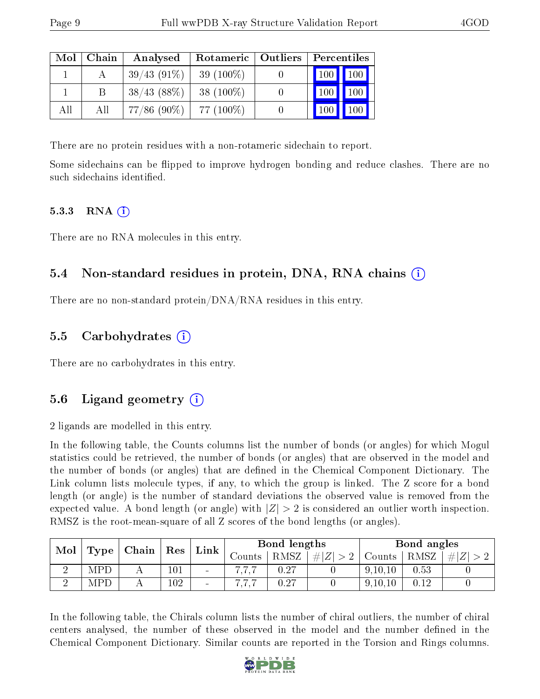| Mol | Chain | Analysed       | Rotameric   Outliers | Percentiles                  |                     |
|-----|-------|----------------|----------------------|------------------------------|---------------------|
|     |       | $39/43(91\%)$  | 39 $(100\%)$         | $\mid$ 100 $\mid$ 100 $\mid$ |                     |
|     | B     | 38/43(88%)     | 38 $(100\%)$         | $ 100\rangle$                | $\vert$ 100 $\vert$ |
| All | Аll   | $77/86$ (90\%) | 77 (100\%)           |                              | 100 <sup>1</sup>    |

There are no protein residues with a non-rotameric sidechain to report.

Some sidechains can be flipped to improve hydrogen bonding and reduce clashes. There are no such sidechains identified.

#### 5.3.3 RNA $(i)$

There are no RNA molecules in this entry.

### 5.4 Non-standard residues in protein, DNA, RNA chains (i)

There are no non-standard protein/DNA/RNA residues in this entry.

### 5.5 Carbohydrates (i)

There are no carbohydrates in this entry.

### 5.6 Ligand geometry  $(i)$

2 ligands are modelled in this entry.

In the following table, the Counts columns list the number of bonds (or angles) for which Mogul statistics could be retrieved, the number of bonds (or angles) that are observed in the model and the number of bonds (or angles) that are defined in the Chemical Component Dictionary. The Link column lists molecule types, if any, to which the group is linked. The Z score for a bond length (or angle) is the number of standard deviations the observed value is removed from the expected value. A bond length (or angle) with  $|Z| > 2$  is considered an outlier worth inspection. RMSZ is the root-mean-square of all Z scores of the bond lengths (or angles).

| Mol |     | $\mathbf{Type} \mid \mathbf{Chain}$ |                      | Link                     | Bond lengths |      |         | Bond angles |      |   |
|-----|-----|-------------------------------------|----------------------|--------------------------|--------------|------|---------|-------------|------|---|
|     |     |                                     | $\operatorname{Res}$ |                          | $\rm~counts$ | RMSZ | $\# Z $ | Counts      | RMSZ | # |
|     | MPD |                                     | 101                  | $\blacksquare$           |              | 0.27 |         | 9,10,10     | 0.53 |   |
|     | MPI |                                     | 102                  | $\overline{\phantom{a}}$ |              | 0.27 |         | 9, 10, 10   | N 19 |   |

In the following table, the Chirals column lists the number of chiral outliers, the number of chiral centers analysed, the number of these observed in the model and the number defined in the Chemical Component Dictionary. Similar counts are reported in the Torsion and Rings columns.

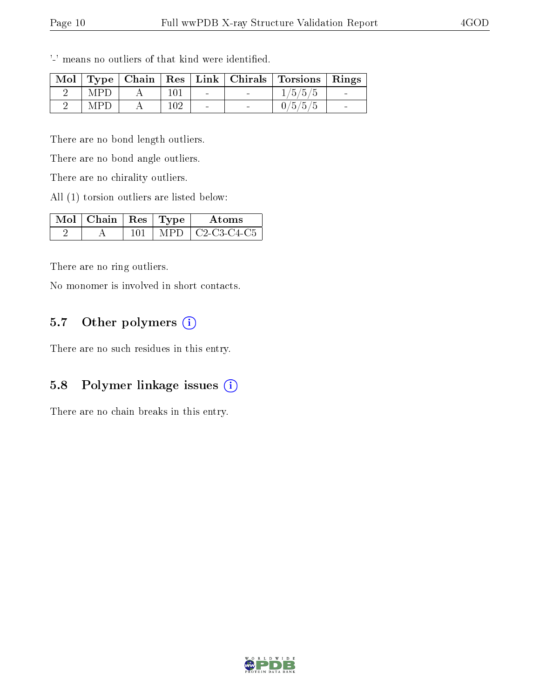|            |     |  | Mol   Type   Chain   Res   Link   Chirals   Torsions   Rings |  |
|------------|-----|--|--------------------------------------------------------------|--|
| <b>MPD</b> |     |  | 1/5/5/5                                                      |  |
| <b>MPD</b> | 102 |  | 0/5/5/5                                                      |  |

'-' means no outliers of that kind were identified.

There are no bond length outliers.

There are no bond angle outliers.

There are no chirality outliers.

All (1) torsion outliers are listed below:

| $\sqrt{\text{Mol}}$   Chain   Res   Type |      | Atoms       |
|------------------------------------------|------|-------------|
|                                          | MPD. | C2-C3-C4-C5 |

There are no ring outliers.

No monomer is involved in short contacts.

#### 5.7 [O](https://www.wwpdb.org/validation/2017/XrayValidationReportHelp#nonstandard_residues_and_ligands)ther polymers  $(i)$

There are no such residues in this entry.

### 5.8 Polymer linkage issues  $(i)$

There are no chain breaks in this entry.

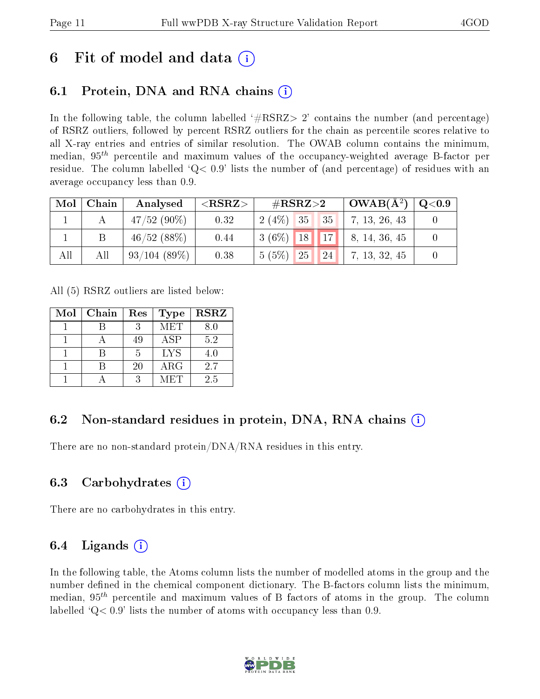## 6 Fit of model and data  $\left( \cdot \right)$

### 6.1 Protein, DNA and RNA chains (i)

In the following table, the column labelled  $#RSRZ>2'$  contains the number (and percentage) of RSRZ outliers, followed by percent RSRZ outliers for the chain as percentile scores relative to all X-ray entries and entries of similar resolution. The OWAB column contains the minimum, median,  $95<sup>th</sup>$  percentile and maximum values of the occupancy-weighted average B-factor per residue. The column labelled  $Q< 0.9$  lists the number of (and percentage) of residues with an average occupancy less than 0.9.

| Mol | Chain | Analysed      | ${ <\bf RSRZ} { >}$ | $\#\text{RSRZ}{>}2$ |    | $\overline{OWAB(A^2)}$ | Q <sub>0.9</sub> |  |
|-----|-------|---------------|---------------------|---------------------|----|------------------------|------------------|--|
|     |       | $47/52(90\%)$ | 0.32                | $2(4\%)$ 35         |    | $\sqrt{35}$            | 7, 13, 26, 43    |  |
|     |       | 46/52(88%)    | 0.44                | $3(6\%)$ 18 17,     |    |                        | 8, 14, 36, 45    |  |
| All | Аll   | 93/104(89%)   | 0.38                | 5(5%)               | 25 | <b>24</b>              | 7, 13, 32, 45    |  |

All (5) RSRZ outliers are listed below:

| Mol | Chain | Res | Type       | <b>RSRZ</b> |
|-----|-------|-----|------------|-------------|
|     |       |     | <b>MET</b> | 8.0         |
|     |       | 49  | <b>ASP</b> | 5.2         |
|     |       | 5   | <b>LYS</b> | 4.0         |
|     |       | 20  | ARG        | 2.7         |
|     |       | 2   | MET        | 2.5         |

### 6.2 Non-standard residues in protein, DNA, RNA chains  $(i)$

There are no non-standard protein/DNA/RNA residues in this entry.

### 6.3 Carbohydrates (i)

There are no carbohydrates in this entry.

### 6.4 Ligands  $(i)$

In the following table, the Atoms column lists the number of modelled atoms in the group and the number defined in the chemical component dictionary. The B-factors column lists the minimum, median,  $95<sup>th</sup>$  percentile and maximum values of B factors of atoms in the group. The column labelled  $Q< 0.9$  lists the number of atoms with occupancy less than 0.9.